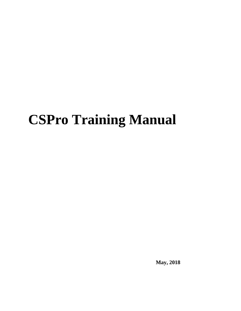# **CSPro Training Manual**

**May, 2018**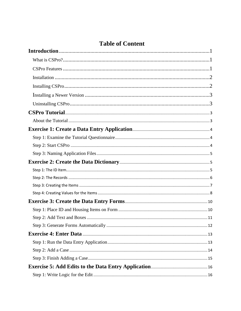# **Table of Content**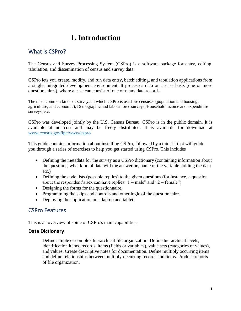# **1.Introduction**

### <span id="page-3-1"></span><span id="page-3-0"></span>What is CSPro?

The Census and Survey Processing System (CSPro) is a software package for entry, editing, tabulation, and dissemination of census and survey data.

CSPro lets you create, modify, and run data entry, batch editing, and tabulation applications from a single, integrated development environment. It processes data on a case basis (one or more questionnaires), where a case can consist of one or many data records.

The most common kinds of surveys in which CSPro is used are censuses (population and housing; agriculture; and economic), Demographic and labour force surveys, Household income and expenditure surveys, etc.

CSPro was developed jointly by the U.S. Census Bureau. CSPro is in the public domain. It is available at no cost and may be freely distributed. It is available for download at [www.census.gov/ipc/www/cspro.](http://www.census.gov/ipc/www/cspro)

This guide contains information about installing CSPro, followed by a tutorial that will guide you through a series of exercises to help you get started using CSPro. This includes

- Defining the metadata for the survey as a CSPro dictionary (containing information about the questions, what kind of data will the answer be, name of the variable holding the data etc.)
- Defining the code lists (possible replies) to the given questions (for instance, a question about the respondent's sex can have replies " $1 =$  male" and " $2 =$  female")
- Designing the forms for the questionnaire.
- Programming the skips and controls and other logic of the questionnaire.
- Deploying the application on a laptop and tablet.

### <span id="page-3-2"></span>CSPro Features

This is an overview of some of CSPro's main capabilities.

### **Data Dictionary**

Define simple or complex hierarchical file organization. Define hierarchical levels, identification items, records, items (fields or variables), value sets (categories of values), and values. Create descriptive notes for documentation. Define multiply occurring items and define relationships between multiply-occurring records and items. Produce reports of file organization.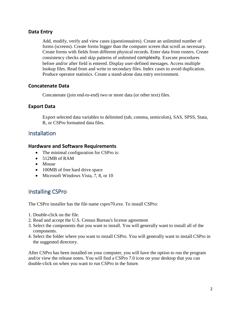### **Data Entry**

Add, modify, verify and view cases (questionnaires). Create an unlimited number of forms (screens). Create forms bigger than the computer screen that scroll as necessary. Create forms with fields from different physical records. Enter data from rosters. Create consistency checks and skip patterns of unlimited complexity. Execute procedures before and/or after field is entered. Display user-defined messages. Access multiple lookup files. Read from and write to secondary files. Index cases to avoid duplication. Produce operator statistics. Create a stand-alone data entry environment.

### **Concatenate Data**

Concatenate (join end-to-end) two or more data (or other text) files.

### **Export Data**

Export selected data variables to delimited (tab, comma, semicolon), SAS, SPSS, Stata, R, or CSPro formatted data files.

### <span id="page-4-0"></span>**Installation**

#### **Hardware and Software Requirements**

- The minimal configuration for CSPro is:
- 512MB of RAM
- Mouse
- 100MB of free hard drive space
- Microsoft Windows Vista, 7, 8, or 10

### <span id="page-4-1"></span>Installing CSPro

The CSPro installer has the file name cspro70.exe. To install CSPro:

- 1. Double-click on the file.
- 2. Read and accept the U.S. Census Bureau's license agreement
- 3. Select the components that you want to install. You will generally want to install all of the components.
- 4. Select the folder where you want to install CSPro. You will generally want to install CSPro in the suggested directory.

After CSPro has been installed on your computer, you will have the option to run the program and/or view the release notes. You will find a CSPro 7.0 icon on your desktop that you can double-click on when you want to run CSPro in the future.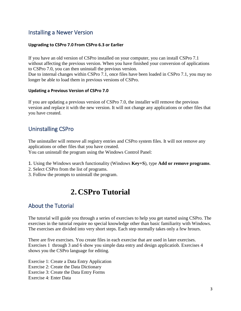### <span id="page-5-0"></span>Installing a Newer Version

#### **Upgrading to CSPro 7.0 From CSPro 6.3 or Earlier**

If you have an old version of CSPro installed on your computer, you can install CSPro 7.1 without affecting the previous version. When you have finished your conversion of applications to CSPro 7.0, you can then uninstall the previous version.

Due to internal changes within CSPro 7.1, once files have been loaded in CSPro 7.1, you may no longer be able to load them in previous versions of CSPro.

#### **Updating a Previous Version of CSPro 7.0**

If you are updating a previous version of CSPro 7.0, the installer will remove the previous version and replace it with the new version. It will not change any applications or other files that you have created.

### <span id="page-5-1"></span>Uninstalling CSPro

The uninstaller will remove all registry entries and CSPro system files. It will not remove any applications or other files that you have created.

You can uninstall the program using the Windows Control Panel:

- 1. Using the Windows search functionality (Windows **Key+S**), type **Add or remove programs**.
- 2. Select CSPro from the list of programs.
- <span id="page-5-2"></span>3. Follow the prompts to uninstall the program.

# **2. CSPro Tutorial**

### <span id="page-5-3"></span>About the Tutorial

The tutorial will guide you through a series of exercises to help you get started using CSPro. The exercises in the tutorial require no special knowledge other than basic familiarity with Windows. The exercises are divided into very short steps. Each step normally takes only a few hrours.

There are five exercises. You create files in each exercise that are used in later exercises. Exercises 1 through 3 and 6 show you simple data entry and design applicatiob. Exercises 4 shows you the CSPro language for editing.

Exercise 1: Create a Data Entry Application Exercise 2: Create the Data Dictionary Exercise 3: Create the Data Entry Forms Exercise 4: Enter Data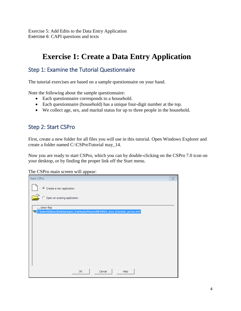Exercise 5: Add Edits to the Data Entry Application Exercise 6: CAPI questions and texts

# <span id="page-6-0"></span>**Exercise 1: Create a Data Entry Application**

### <span id="page-6-1"></span>Step 1: Examine the Tutorial Questionnaire

The tutorial exercises are based on a sample questionnaire on your hand.

Note the following about the sample questionnaire:

- Each questionnaire corresponds to a household.
- Each questionnaire (household) has a unique four-digit number at the top.
- We collect age, sex, and marital status for up to three people in the household.

### <span id="page-6-2"></span>Step 2: Start CSPro

First, create a new folder for all files you will use in this tutorial. Open Windows Explorer and create a folder named C:\CSProTutorial may\_14.

Now you are ready to start CSPro, which you can by double-clicking on the CSPro 7.0 icon on your desktop, or by finding the proper link off the Start menu.

The CSPro main screen will appear:

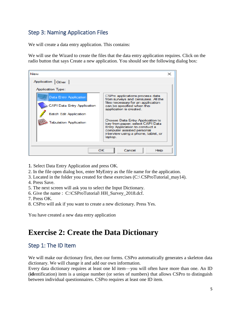# <span id="page-7-0"></span>Step 3: Naming Application Files

We will create a data entry application. This contains:

We will use the Wizard to create the files that the data entry application requires. Click on the radio button that says Create a new application. You should see the following dialog box:



- 1. Select Data Entry Application and press OK.
- 2. In the file open dialog box, enter MyEntry as the file name for the application.
- 3. Located in the folder you created for these exercises (C:\ CSProTutorial\_may14).
- 4. Press Save.
- 5. The next screen will ask you to select the Input Dictionary.
- 6. Give the name : C:\CSProTutorial\ HH\_Survey\_2018.dcf.
- 7. Press OK.
- 8. CSPro will ask if you want to create a new dictionary. Press Yes.

You have created a new data entry application

# <span id="page-7-1"></span>**Exercise 2: Create the Data Dictionary**

### <span id="page-7-2"></span>Step 1: The ID Item

We will make our dictionary first, then our forms. CSPro automatically generates a skeleton data dictionary. We will change it and add our own information.

Every data dictionary requires at least one Id item—you will often have more than one. An ID (**id**entification) item is a unique number (or series of numbers) that allows CSPro to distinguish between individual questionnaires. CSPro requires at least one ID item.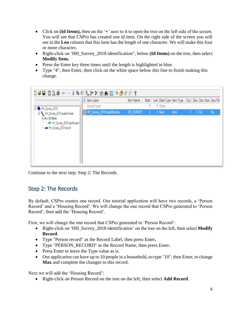- Click on **(Id Items),** then on the '**+**' next to it to open the tree on the left side of the screen. You will see that CSPro has created one id item. On the right side of the screen you will see in the **Len** column that this item has the length of one character. We will make this four or more character.
- Right-click on 'HH\_Survey\_2018 identification", below **(Id Items)** on the tree, then select **Modify Item.**
- Press the Enter key three times until the length is highlighted in blue.
- Type "4", then Enter, then click on the white space below this line to finish making this change.



Continue to the next step: Step 2: The Records.

### <span id="page-8-0"></span>Step 2: The Records

By default, CSPro creates one record. Our tutorial application will have two records, a 'Person Record' and a 'Housing Record'. We will change the one record that CSPro generated to 'Person Record', then add the 'Housing Record'.

First, we will change the one record that CSPro generated to 'Person Record':

- Right-click on 'HH\_Survey\_2018 identification' on the tree on the left, then select **Modify Record**.
- Type "Person record" as the Record Label, then press Enter**.**
- Type "PERSON\_RECORD" as the Record Name, then press Enter**.**
- Press Enter to leave the Type value as is.
- Our application can have up to 10 people in a household, so type "10", then Enter, to change **Max** and complete the changes to this record.

Next we will add the 'Housing Record':

• Right-click on Person Record on the tree on the left, then select **Add Record**.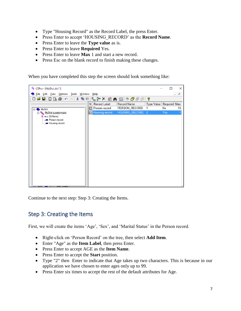- Type "Housing Record" as the Record Label, the press Enter.
- Press Enter to accept 'HOUSING\_RECORD' as the **Record Name**.
- Press Enter to leave the **Type value** as is.
- Press Enter to leave **Required** Yes.
- Press Enter to leave **Max** 1 and start a new record.
- Press Esc on the blank record to finish making these changes.

When you have completed this step the screen should look something like:



Continue to the next step: Step 3: Creating the Items.

### <span id="page-9-0"></span>Step 3: Creating the Items

First, we will create the items 'Age', 'Sex', and 'Marital Status' in the Person record.

- Right-click on 'Person Record' on the tree, then select **Add Item**.
- Enter "Age" as the **Item Label**, then press Enter.
- Press Enter to accept AGE as the **Item Name**.
- Press Enter to accept the **Start** position.
- Type "2" then Enter to indicate that Age takes up two characters. This is because in our application we have chosen to enter ages only up to 99.
- Press Enter six times to accept the rest of the default attributes for Age.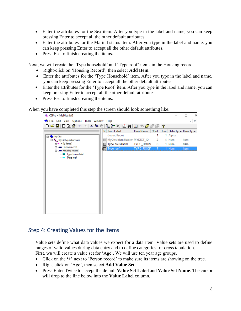- Enter the attributes for the Sex item. After you type in the label and name, you can keep pressing Enter to accept all the other default attributes.
- Enter the attributes for the Marital status item. After you type in the label and name, you can keep pressing Enter to accept all the other default attributes.
- Press Esc to finish creating the items.

Next, we will create the 'Type household' and 'Type roof' items in the Housing record.

- Right-click on 'Housing Record', then select **Add Item**.
- Enter the attributes for the 'Type Household' item. After you type in the label and name, you can keep pressing Enter to accept all the other default attributes.
- Enter the attributes for the 'Type Roof' item. After you type in the label and name, you can keep pressing Enter to accept all the other default attributes.
- Press Esc to finish creating the items.

#### When you have completed this step the screen should look something like:



### <span id="page-10-0"></span>Step 4: Creating Values for the Items

Value sets define what data values we expect for a data item. Value sets are used to define ranges of valid values during data entry and to define categories for cross tabulation.

First, we will create a value set for 'Age'. We will use ten year age groups.

- Click on the **'+'** next to 'Person record' to make sure its items are showing on the tree.
- Right-click on 'Age', then select **Add Value Set**.
- Press Enter Twice to accept the default **Value Set Label** and **Value Set Name**. The cursor will drop to the line below into the **Value Label** column.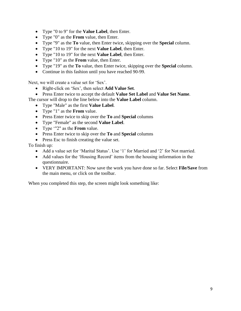- Type "0 to 9" for the **Value Label**, then Enter.
- Type "0" as the **From** value, then Enter.
- Type "9" as the **To** value, then Enter twice, skipping over the **Special** column.
- Type "10 to 19" for the next **Value Label**, then Enter.
- Type "10 to 19" for the next **Value Label**, then Enter.
- Type "10" as the **From** value, then Enter.
- Type "19" as the **To** value, then Enter twice, skipping over the **Special** column.
- Continue in this fashion until you have reached 90-99.

Next, we will create a value set for 'Sex'.

- Right-click on 'Sex', then select **Add Value Set**.
- Press Enter twice to accept the default **Value Set Label** and **Value Set Name**.

The cursor will drop to the line below into the **Value Label** column.

- Type "Male" as the first **Value Label**.
- Type "1" as the **From** value.
- Press Enter twice to skip over the **To** and **Special** columns
- Type "Female" as the second **Value Label**.
- Type '"2" as the **From** value.
- Press Enter twice to skip over the **To** and **Special** columns
- Press Esc to finish creating the value set.

To finish up:

- Add a value set for 'Marital Status'. Use '1' for Married and '2' for Not married.
- Add values for the 'Housing Record' items from the housing information in the questionnaire.
- VERY IMPORTANT: Now save the work you have done so far. Select **File/Save** from the main menu, or click on the toolbar.

When you completed this step, the screen might look something like: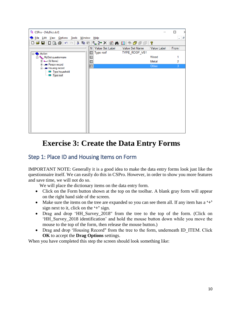| <sup>Q</sup> CSPro - [MyDict.dcf]               |           |                                |             | П    |
|-------------------------------------------------|-----------|--------------------------------|-------------|------|
| Eile Edit View Options Tools Window Help        |           |                                |             | - 18 |
| <b>DGBBDQ@</b>  ∽∼ ↓₻© ┞6ºX 白A E ◈@@@           |           |                                | P           |      |
|                                                 | N.        | Value Set Label Value Set Name | Value Label | From |
| <b>MyDict</b><br>E-O                            | Type roof | TYPE_ROOF_VS1                  |             |      |
| 白 . Te <sub>m</sub> MyDict questionnaire        |           |                                | Wood        |      |
| ⊞ = (ld ltems)                                  | 昌         |                                | Metal       | 2    |
| in - Person record<br><b>E</b> - Housing record |           |                                | Other       |      |
| Type household<br><b>E</b> Type roof            |           |                                |             |      |

# <span id="page-12-0"></span>**Exercise 3: Create the Data Entry Forms**

### <span id="page-12-1"></span>Step 1: Place ID and Housing Items on Form

IMPORTANT NOTE: Generally it is a good idea to make the data entry forms look just like the questionnaire itself. We can easily do this in CSPro. However, in order to show you more features and save time, we will not do so.

We will place the dictionary items on the data entry form.

- Click on the Form button shown at the top on the toolbar. A blank gray form will appear on the right hand side of the screen.
- Make sure the items on the tree are expanded so you can see them all. If any item has a  $\ddot{ }$ sign next to it, click on the **'+'** sign.
- Drag and drop 'HH\_Survey\_2018" from the tree to the top of the form. (Click on 'HH\_Survey\_2018 identification' and hold the mouse button down while you move the mouse to the top of the form, then release the mouse button.)
- Drag and drop 'Housing Record" from the tree to the form, underneath ID\_ITEM. Click **OK** to accept the **Drag Options** settings.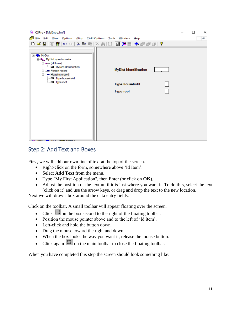| <sup>Q</sup> CSPro - [MyEntry.fmf]                                                                                                                                                                  |                                                                           | × |
|-----------------------------------------------------------------------------------------------------------------------------------------------------------------------------------------------------|---------------------------------------------------------------------------|---|
| File Edit View Options Align CAPIOptions Tools Window Help                                                                                                                                          |                                                                           | Ð |
|                                                                                                                                                                                                     | <b>DABR \$P   R \$P   B   X A   B   B   B   D # @ @ @   ?</b>             |   |
| □ MyDict<br>白  MyDict questionnaire<br>⊟ · ■ (Id Items)<br>i an My Dict identification<br>Ei-um Person record<br><b>E</b> -- Housing record<br><b>Im Type household</b><br><sub>i</sub> – Type roof | <b>MyDict identification</b><br><b>Type household</b><br><b>Type roof</b> |   |

### <span id="page-13-0"></span>Step 2: Add Text and Boxes

First, we will add our own line of text at the top of the screen.

- Right-click on the form, somewhere above 'Id Item'.
- Select **Add Text** from the menu.
- Type "My First Application", then Enter (or click on **OK**).
- Adjust the position of the text until it is just where you want it. To do this, select the text (click on it) and use the arrow keys, or drag and drop the text to the new location.

Next we will draw a box around the data entry fields.

Click on the toolbar. A small toolbar will appear floating over the screen.

- Click  $\frac{1}{2}$  on the box second to the right of the floating toolbar.
- Position the mouse pointer above and to the left of 'Id item'.
- Left-click and hold the button down.
- Drag the mouse toward the right and down.
- When the box looks the way you want it, release the mouse button.
- Click again  $\frac{1}{2}$  on the main toolbar to close the floating toolbar.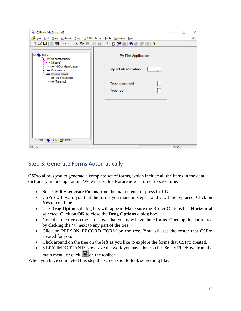| <sup>O</sup> CSPro - [MyEntry.fmf]                                                                                                                                                                                                                                                                                                                                                                  |            | П                        | × |
|-----------------------------------------------------------------------------------------------------------------------------------------------------------------------------------------------------------------------------------------------------------------------------------------------------------------------------------------------------------------------------------------------------|------------|--------------------------|---|
| File Edit View Options Align CAPIOptions Tools Window Help                                                                                                                                                                                                                                                                                                                                          |            | $\overline{\phantom{a}}$ | Đ |
| ◘ ☞ ■  ※ 赛  ㅇ ∼   & ☜ ■  × ∞    ፼  =   ➡ ☞ ☞ @   ?                                                                                                                                                                                                                                                                                                                                                  |            |                          |   |
| $\rightarrow$ My Dict<br>⊟"<br><b>My First Application</b><br>⊟ <sup>…t</sup> e <sub>n</sub> MyDict questionnaire<br>$\Box$ (Id Items)<br>i m MyDict identification<br><b>MyDict identification</b><br>iii  Person record<br><b>E</b> -- Housing record<br><b>Exercise Type household</b><br><sub>1</sub> Type roof<br>Type household<br><b>Type roof</b><br><b>WE FIRES</b><br>Dicts   Fight Forms |            |                          |   |
| 102,75                                                                                                                                                                                                                                                                                                                                                                                              | <b>NUM</b> |                          |   |

### <span id="page-14-0"></span>Step 3: Generate Forms Automatically

CSPro allows you to generate a complete set of forms, which include all the items in the data dictionary, in one operation. We will use this feature now in order to save time.

- Select **Edit/Generate Forms** from the main menu, or press Ctrl-G.
- CSPro will warn you that the forms you made in steps 1 and 2 will be replaced. Click on **Yes** to continue.
- The **Drag Options** dialog box will appear. Make sure the Roster Options has **Horizontal**  selected. Click on **OK** to close the **Drag Options** dialog box.
- Note that the tree on the left shows that you now have three forms. Open up the entire tree by clicking the **'+'** next to any part of the tree.
- Click on PERSON RECORD FORM on the tree. You will see the roster that CSPro created for you.
- Click around on the tree on the left as you like to explore the forms that CSPro created.
- VERY IMPORTANT: Now save the work you have done so far. Select **File/Save** from the main menu, or click  $\Box$  on the toolbar.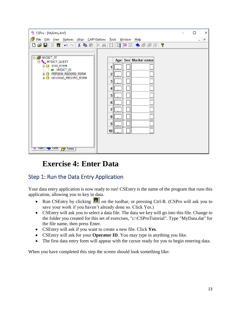| CSPro - [MyEntry.fmf]                                                                                                                                                                                                                                                             | ×<br>□                        |
|-----------------------------------------------------------------------------------------------------------------------------------------------------------------------------------------------------------------------------------------------------------------------------------|-------------------------------|
| File Edit View Options Align CAPI Options Tools Window Help                                                                                                                                                                                                                       | e<br>$\overline{\phantom{a}}$ |
| DBBR赛 ∽○ ↓电电 ×两周目出日 ◆图图印?                                                                                                                                                                                                                                                         |                               |
| D <b>MYDICT_FF</b><br>Age Sex Marital status<br><b>D</b> MYDICT_QUEST<br><b>⊟ IDSO_FORM</b><br>1<br>MYDICT_ID<br><b>E-□ PERSON_RECORD_FORM</b><br>2<br><b>EE-□ HOUSING_RECORD_FORM</b><br>3<br>4<br>5<br>6<br>7<br>8<br>9<br>10 <sup>1</sup><br><b>We Files   We Dicts</b>   Home |                               |

# <span id="page-15-0"></span>**Exercise 4: Enter Data**

# <span id="page-15-1"></span>Step 1: Run the Data Entry Application

Your data entry application is now ready to run! CSEntry is the name of the program that runs this application, allowing you to key in data.

- Run CSEntry by clicking  $\bullet$  on the toolbar, or pressing Ctrl-R. (CSPro will ask you to save your work if you haven't already done so. Click Yes.)
- CSEntry will ask you to select a data file. The data we key will go into this file. Change to the folder you created for this set of exercises, "c:\CSProTutorial". Type "MyData.dat" for the file name, then press Enter.
- CSEntry will ask if you want to create a new file. Click **Yes**.
- CSEntry will ask for your **Operator ID**. You may type in anything you like.
- The first data entry form will appear with the cursor ready for you to begin entering data.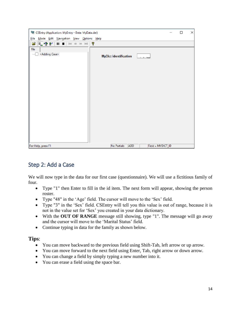| CSEntry (Application: MyEntry - Data: MyData.dat) |                                                | □ | × |
|---------------------------------------------------|------------------------------------------------|---|---|
| File Mode Edit Navigation View Options Help       |                                                |   |   |
| $\parallel$ is:                                   |                                                |   |   |
| File<br><adding case=""><br/>1.1111</adding>      | <b>MyDict identification</b>                   |   |   |
|                                                   |                                                |   |   |
| For Help, press F1                                | No Partials<br><b>ADD</b><br>Field = MYDICT_ID |   |   |

### <span id="page-16-0"></span>Step 2: Add a Case

We will now type in the data for our first case (questionnaire). We will use a fictitious family of four.

- Type "1" then Enter to fill in the id item. The next form will appear, showing the person roster.
- Type "48" in the 'Age' field. The cursor will move to the 'Sex' field.
- Type "3" in the 'Sex' field. CSEntry will tell you this value is out of range, because it is not in the value set for 'Sex' you created in your data dictionary.
- With the **OUT OF RANGE** message still showing, type "1". The message will go away and the cursor will move to the 'Marital Status' field.
- Continue typing in data for the family as shown below.

### **Tips**:

- You can move backward to the previous field using Shift-Tab, left arrow or up arrow.
- You can move forward to the next field using Enter, Tab, right arrow or down arrow.
- You can change a field by simply typing a new number into it.
- You can erase a field using the space bar.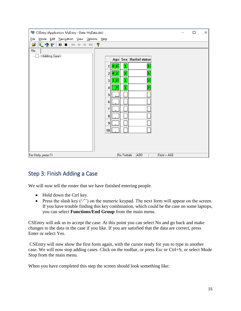| CSEntry (Application: MyEntry - Data: MyData.dat) |                                               | □ | × |
|---------------------------------------------------|-----------------------------------------------|---|---|
| File Mode Edit Navigation View Options Help       |                                               |   |   |
|                                                   |                                               |   |   |
| = 骨配    ■    14 0 12 12    ?<br>e.                |                                               |   |   |
| <b>File</b>                                       |                                               |   |   |
| <adding case=""><br/>1.1.1.1</adding>             | Age Sex Marital status                        |   |   |
|                                                   | 4,8<br>$\overline{\mathbf{1}}$<br>1           |   |   |
|                                                   | $\vert$ 2 $\vert$<br>4,2<br>ı<br>$\mathbf{2}$ |   |   |
|                                                   | 2<br>ı<br> 1,0 <br>3                          |   |   |
|                                                   | 2<br>$\bullet$<br>1<br>4                      |   |   |
|                                                   | 5                                             |   |   |
|                                                   | 6                                             |   |   |
|                                                   | 7                                             |   |   |
|                                                   | 8                                             |   |   |
|                                                   | 9                                             |   |   |
|                                                   | 10                                            |   |   |
|                                                   |                                               |   |   |
|                                                   |                                               |   |   |
| For Help, press F1                                | No Partials<br>ADD<br>$Field = AGE$           |   |   |

# <span id="page-17-0"></span>Step 3: Finish Adding a Case

We will now tell the roster that we have finished entering people.

- Hold down the Ctrl key.
- Press the slash key  $('')$  on the numeric keypad. The next form will appear on the screen. If you have trouble finding this key combination, which could be the case on some laptops, you can select **Functions/End Group** from the main menu.

CSEntry will ask us to accept the case. At this point you can select No and go back and make changes to the data in the case if you like. If you are satisfied that the data are correct, press Enter or select Yes.

CSEntry will now show the first form again, with the cursor ready for you to type in another case. We will now stop adding cases. Click on the toolbar, or press Esc or Ctrl+S, or select Mode Stop from the main menu.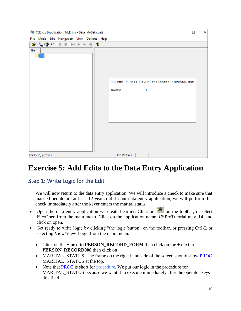| CSEntry (Application: MyEntry - Data: MyData.dat) |                                                                         | ×<br>□ |
|---------------------------------------------------|-------------------------------------------------------------------------|--------|
| File Mode Edit Navigation View Options Help       |                                                                         |        |
| <b>空尾骨卧   Ⅱ Ⅲ   14 4 14 14 10 1 ?</b>             |                                                                         |        |
| File<br>1.1.1.1                                   | < <text file="">&gt; C:\CSProTutorial\MyData.dat<br/>Cases<br/>1</text> |        |
| For Help, press F1                                | <b>No Partials</b>                                                      |        |

# <span id="page-18-0"></span>**Exercise 5: Add Edits to the Data Entry Application**

### <span id="page-18-1"></span>Step 1: Write Logic for the Edit

We will now return to the data entry application. We will introduce a check to make sure that married people are at least 12 years old. In our data entry application, we will perform this check immediately after the keyer enters the marital status.

- Open the data entry application we created earlier. Click on  $\mathbb{E}$  on the toolbar, or select File/Open from the main menu. Click on the application name, CSProTutorial may\_14, and click on open.
- Get ready to write logic by clicking "the logic button" on the toolbar, or pressing Ctrl-L or selecting View/View Logic from the main menu.
	- Click on the  $+$  next to **PERSON RECORD FORM** then click on the  $+$  next to **PERSON\_RECORD000** then click on
	- MARITAL\_STATUS. The frame on the right hand side of the screen should show PROC MARITAL\_STATUS at the top.
	- Note that PROC is short for procedure. We put our logic in the procedure for MARITAL STATUS because we want it to execute immediately after the operator keys this field.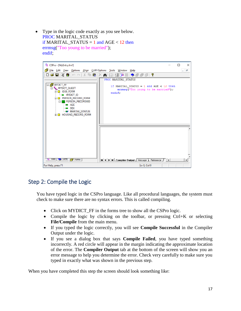• Type in the logic code exactly as you see below. PROC MARITAL\_STATUS if MARITAL STATUS = 1 and AGE  $<$  12 then errmsg("Too young to be married"); endif;



### <span id="page-19-0"></span>Step 2: Compile the Logic

You have typed logic in the CSPro language. Like all procedural languages, the system must check to make sure there are no syntax errors. This is called compiling.

- Click on MYDICT\_FF in the forms tree to show all the CSPro logic.
- Compile the logic by clicking on the toolbar, or pressing Ctrl+K or selecting **File/Compile** from the main menu.
- If you typed the logic correctly, you will see **Compile Successful** in the Compiler Output under the logic.
- If you see a dialog box that says **Compile Failed**, you have typed something incorrectly. A red circle will appear in the margin indicating the approximate location of the error. The **Compiler Output** tab at the bottom of the screen will show you an error message to help you determine the error. Check very carefully to make sure you typed in exactly what was shown in the previous step.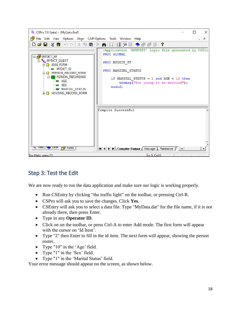

### <span id="page-20-0"></span>Step 3: Test the Edit

We are now ready to run the data application and make sure our logic is working properly.

- Run CSEntry by clicking "the traffic light" on the toolbar, or pressing Ctrl-R.
- CSPro will ask you to save the changes. Click **Yes**.
- CSEntry will ask you to select a data file. Type "MyData.dat" for the file name, if it is not already there, then press Enter.
- Type in any **Operator ID**.
- Click on on the toolbar, or press Ctrl-A to enter Add mode. The first form will appear with the cursor on 'Id Item'.
- Type "2" then Enter to fill in the id item. The next form will appear, showing the person roster.
- Type "10" in the 'Age' field.
- Type "1" in the 'Sex' field.
- Type "1" in the 'Marital Status' field.

Your error message should appear on the screen, as shown below.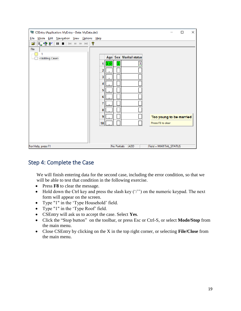| CSEntry (Application: MyEntry - Data: MyData.dat)<br>U | ×<br>□                                    |
|--------------------------------------------------------|-------------------------------------------|
| File Mode Edit Navigation View Options Help            |                                           |
| <b>☞ LE 로 E L L L</b> H + + → H   &                    |                                           |
| File                                                   |                                           |
| <adding case=""><br/>:I</adding>                       | Age Sex Marital status                    |
|                                                        | ı<br> 1,0 <br>1                           |
|                                                        | 2                                         |
|                                                        | 3                                         |
|                                                        | J                                         |
|                                                        | 5                                         |
|                                                        | 6                                         |
|                                                        | 7                                         |
|                                                        | 8                                         |
|                                                        | 9<br>Too young to be married              |
|                                                        | Press F8 to clear<br>10                   |
|                                                        |                                           |
|                                                        |                                           |
|                                                        |                                           |
| For Help, press F1                                     | No Partials ADD<br>Field = MARITAL_STATUS |

### <span id="page-21-0"></span>Step 4: Complete the Case

We will finish entering data for the second case, including the error condition, so that we will be able to test that condition in the following exercise.

- Press **F8** to clear the message.
- Hold down the Ctrl key and press the slash key  $('')$  on the numeric keypad. The next form will appear on the screen.
- Type "1" in the 'Type Household' field.
- Type "1" in the 'Type Roof' field.
- CSEntry will ask us to accept the case. Select **Yes**.
- Click the "Stop button" on the toolbar, or press Esc or Ctrl-S, or select **Mode/Stop** from the main menu.
- Close CSEntry by clicking on the X in the top right corner, or selecting **File/Close** from the main menu.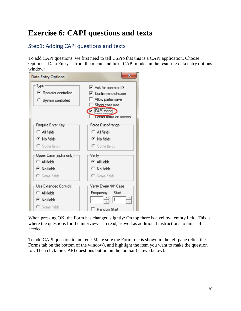# <span id="page-22-0"></span>**Exercise 6: CAPI questions and texts**

# <span id="page-22-1"></span>Step1: Adding CAPI questions and texts

To add CAPI questions, we first need to tell CSPro that this is a CAPI application. Choose Options – Data Entry… from the menu, and tick "CAPI mode" in the resulting data entry options window:



When pressing OK, the Form has changed slightly: On top there is a yellow, empty field. This is where the questions for the interviewer to read, as well as additional instructions to  $him - if$ needed.

To add CAPI question to an item: Make sure the Form tree is shown in the left pane (click the Forms tab on the bottom of the window), and highlight the item you want to make the question for. Then click the CAPI questions button on the toolbar (shown below):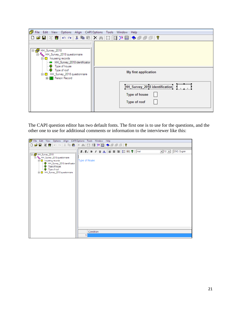| File Edit View Options Align CAPI Options Tools Window Help                                                                                            |                                                                                                    |
|--------------------------------------------------------------------------------------------------------------------------------------------------------|----------------------------------------------------------------------------------------------------|
|                                                                                                                                                        | DGB ※赛 ∽∼ ↓电唱 ×前 照 国王目 ◆●●图】                                                                       |
| □ <mark>o</mark> HH_Survey_2018<br>白  Tu HH_Survey_2018 questionnaire<br>□ houseing records<br>HH_Survey_2018 identification<br><b>2</b> Type of house |                                                                                                    |
| <sup>1</sup> Type of roof<br>□ HH_Survey_2018 questionnaire<br>由 Person Record                                                                         | My first application                                                                               |
|                                                                                                                                                        | Francoise Communication<br><i><u><b>Laboration</b></u></i><br><b>Type of house</b><br>Type of roof |

The CAPI question editor has two default fonts. The first one is to use for the questions, and the other one to use for additional comments or information to the interviewer like this:

| File Edit View Options Align CAPIOptions Tools Window Help                                                                                                                                                             |                                                                                                                                                                                                                                                                                                                                                            |
|------------------------------------------------------------------------------------------------------------------------------------------------------------------------------------------------------------------------|------------------------------------------------------------------------------------------------------------------------------------------------------------------------------------------------------------------------------------------------------------------------------------------------------------------------------------------------------------|
|                                                                                                                                                                                                                        | DBBR\$ ∽∼ ☆●● ×▲ Ⅲ 目下日◆●●■  ?                                                                                                                                                                                                                                                                                                                              |
| B B HH_Survey_2018<br>E <sup>.t</sup> y HH_Survey_2018 questionnaire<br>□ houseing records<br>- <sup>6</sup> HH_Survey_2018 identification<br>Type of house<br><b>2</b> Type of roof<br>由 HH_Survey_2018 questionnaire | $\boxed{\blacksquare}$ 12 $\boxed{\blacksquare}$ ENG: English<br>$\mathbf{F}_1$ , $\mathbf{F}_2$   $\mathbf{B}$ $I$ $\mathbf{U}$ $\mathbf{\underline{A}}$   $\mathbf{\overline{\equiv}}$ $\mathbf{\overline{\equiv}}$ $\mathbf{\equiv}$   $\mathbf{\overline{\equiv}}$ $\mathbf{\Re}$ $\mathbf{\Re}$   $\mathbf{\Im}$<br><b>Type of House</b><br>Condition |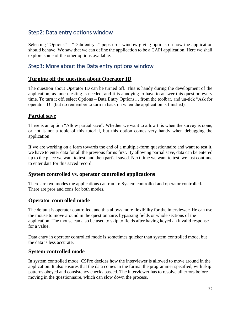### <span id="page-24-0"></span>Step2: Data entry options window

Selecting "Options" – "Data entry..." pops up a window giving options on how the application should behave. We saw that we can define the application to be a CAPI application. Here we shall explore some of the other options available.

### <span id="page-24-1"></span>Step3: More about the Data entry options window

### **Turning off the question about Operator ID**

The question about Operator ID can be turned off. This is handy during the development of the application, as much testing is needed, and it is annoying to have to answer this question every time. To turn it off, select Options – Data Entry Options… from the toolbar, and un-tick "Ask for operator ID" (but do remember to turn in back on when the application is finished).

### **Partial save**

There is an option "Allow partial save". Whether we want to allow this when the survey is done, or not is not a topic of this tutorial, but this option comes very handy when debugging the application:

If we are working on a form towards the end of a multiple-form questionnaire and want to test it, we have to enter data for all the previous forms first. By allowing partial save, data can be entered up to the place we want to test, and then partial saved. Next time we want to test, we just continue to enter data for this saved record.

### **System controlled vs. operator controlled applications**

There are two modes the applications can run in: System controlled and operator controlled. There are pros and cons for both modes.

### **Operator controlled mode**

The default is operator controlled, and this allows more flexibility for the interviewer: He can use the mouse to move around in the questionnaire, bypassing fields or whole sections of the application. The mouse can also be used to skip to fields after having keyed an invalid response for a value.

Data entry in operator controlled mode is sometimes quicker than system controlled mode, but the data is less accurate.

### **System controlled mode**

In system controlled mode, CSPro decides how the interviewer is allowed to move around in the application. It also ensures that the data comes in the format the programmer specified, with skip patterns obeyed and consistency checks passed. The interviewer has to resolve all errors before moving in the questionnaire, which can slow down the process.